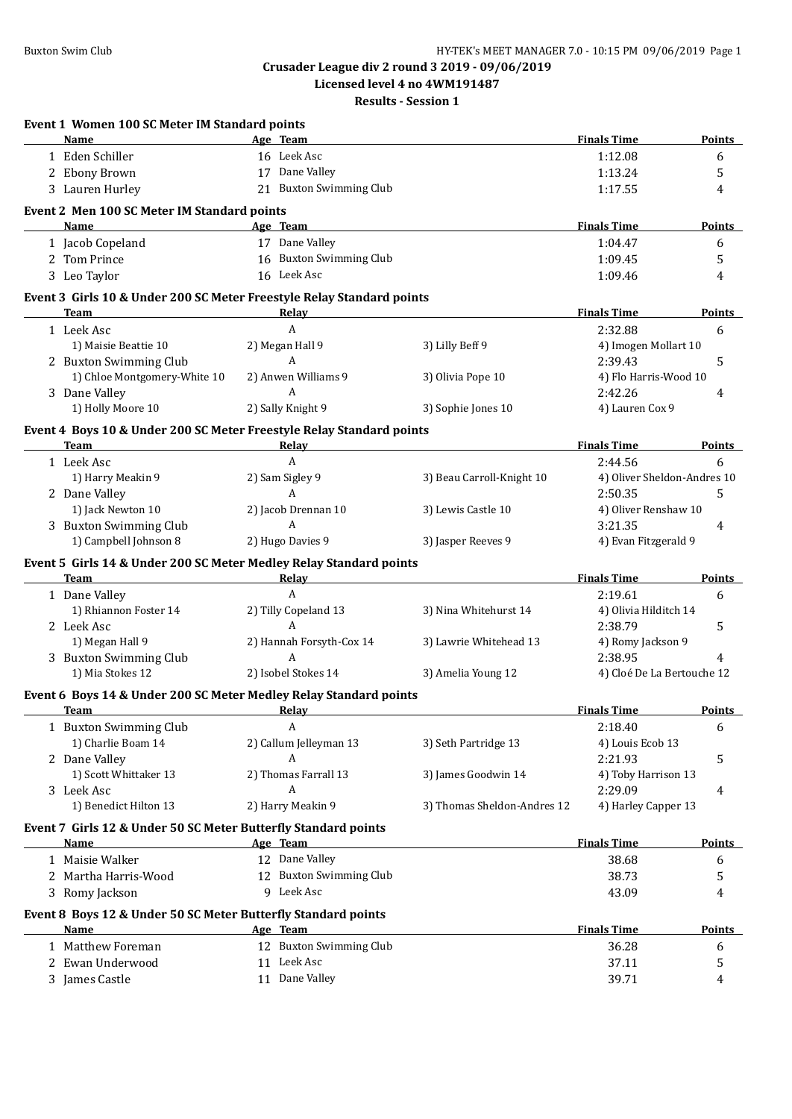**Licensed level 4 no 4WM191487**

| Event 1 Women 100 SC Meter IM Standard points<br>Name                                                                                                | Age Team                 |                             | <b>Finals Time</b>          | Points        |
|------------------------------------------------------------------------------------------------------------------------------------------------------|--------------------------|-----------------------------|-----------------------------|---------------|
| 1 Eden Schiller                                                                                                                                      | 16 Leek Asc              |                             | 1:12.08                     | 6             |
| 2 Ebony Brown                                                                                                                                        | 17 Dane Valley           |                             | 1:13.24                     | 5             |
| 3 Lauren Hurley                                                                                                                                      | 21 Buxton Swimming Club  |                             | 1:17.55                     | 4             |
| Event 2 Men 100 SC Meter IM Standard points                                                                                                          |                          |                             |                             |               |
| Name                                                                                                                                                 | Age Team                 |                             | <b>Finals Time</b>          | <b>Points</b> |
| 1 Jacob Copeland                                                                                                                                     | 17 Dane Valley           |                             | 1:04.47                     | 6             |
| 2 Tom Prince                                                                                                                                         | 16 Buxton Swimming Club  |                             | 1:09.45                     | 5             |
| 3 Leo Taylor                                                                                                                                         | 16 Leek Asc              |                             | 1:09.46                     | 4             |
|                                                                                                                                                      |                          |                             |                             |               |
| Event 3 Girls 10 & Under 200 SC Meter Freestyle Relay Standard points<br><b>Team</b>                                                                 | Relay                    |                             | <b>Finals Time</b>          | Points        |
| 1 Leek Asc                                                                                                                                           | A                        |                             | 2:32.88                     | 6             |
| 1) Maisie Beattie 10                                                                                                                                 | 2) Megan Hall 9          | 3) Lilly Beff 9             | 4) Imogen Mollart 10        |               |
| 2 Buxton Swimming Club                                                                                                                               | $\mathbf{A}$             |                             | 2:39.43                     | 5             |
| 1) Chloe Montgomery-White 10                                                                                                                         | 2) Anwen Williams 9      | 3) Olivia Pope 10           | 4) Flo Harris-Wood 10       |               |
| 3 Dane Valley                                                                                                                                        | A                        |                             | 2:42.26                     | 4             |
| 1) Holly Moore 10                                                                                                                                    | 2) Sally Knight 9        | 3) Sophie Jones 10          | 4) Lauren Cox 9             |               |
|                                                                                                                                                      |                          |                             |                             |               |
| Event 4 Boys 10 & Under 200 SC Meter Freestyle Relay Standard points<br><b>Team</b>                                                                  |                          |                             | <b>Finals Time</b>          | Points        |
| 1 Leek Asc                                                                                                                                           | <u>Relay</u><br>A        |                             | 2:44.56                     | 6             |
| 1) Harry Meakin 9                                                                                                                                    | 2) Sam Sigley 9          | 3) Beau Carroll-Knight 10   | 4) Oliver Sheldon-Andres 10 |               |
| 2 Dane Valley                                                                                                                                        | A                        |                             | 2:50.35                     | 5             |
| 1) Jack Newton 10                                                                                                                                    | 2) Jacob Drennan 10      | 3) Lewis Castle 10          | 4) Oliver Renshaw 10        |               |
| 3 Buxton Swimming Club                                                                                                                               | A                        |                             | 3:21.35                     | 4             |
| 1) Campbell Johnson 8                                                                                                                                | 2) Hugo Davies 9         | 3) Jasper Reeves 9          | 4) Evan Fitzgerald 9        |               |
|                                                                                                                                                      |                          |                             |                             |               |
| Event 5 Girls 14 & Under 200 SC Meter Medley Relay Standard points<br><b>Team</b><br>the control of the control of the control of the control of the | <b>Relay</b>             |                             | <b>Finals Time</b>          | <b>Points</b> |
| 1 Dane Valley                                                                                                                                        | $\mathbf{A}$             |                             | 2:19.61                     | 6             |
| 1) Rhiannon Foster 14                                                                                                                                | 2) Tilly Copeland 13     | 3) Nina Whitehurst 14       | 4) Olivia Hilditch 14       |               |
| 2 Leek Asc                                                                                                                                           | $\overline{A}$           |                             | 2:38.79                     | 5             |
| 1) Megan Hall 9                                                                                                                                      | 2) Hannah Forsyth-Cox 14 | 3) Lawrie Whitehead 13      | 4) Romy Jackson 9           |               |
| 3 Buxton Swimming Club                                                                                                                               | $\boldsymbol{A}$         |                             | 2:38.95                     | 4             |
| 1) Mia Stokes 12                                                                                                                                     | 2) Isobel Stokes 14      | 3) Amelia Young 12          | 4) Cloé De La Bertouche 12  |               |
|                                                                                                                                                      |                          |                             |                             |               |
| Event 6 Boys 14 & Under 200 SC Meter Medley Relay Standard points<br><b>Team</b><br><b>Example 2</b> Relay                                           |                          |                             | <b>Finals Time</b>          | <b>Points</b> |
| 1 Buxton Swimming Club                                                                                                                               | A                        |                             | 2:18.40                     | 6             |
| 1) Charlie Boam 14                                                                                                                                   | 2) Callum Jelleyman 13   | 3) Seth Partridge 13        | 4) Louis Ecob 13            |               |
| 2 Dane Valley                                                                                                                                        | A                        |                             | 2:21.93                     | 5             |
| 1) Scott Whittaker 13                                                                                                                                | 2) Thomas Farrall 13     | 3) James Goodwin 14         | 4) Toby Harrison 13         |               |
| 3 Leek Asc                                                                                                                                           | A                        |                             | 2:29.09                     | 4             |
| 1) Benedict Hilton 13                                                                                                                                | 2) Harry Meakin 9        | 3) Thomas Sheldon-Andres 12 | 4) Harley Capper 13         |               |
|                                                                                                                                                      |                          |                             |                             |               |
| Event 7 Girls 12 & Under 50 SC Meter Butterfly Standard points<br>Name                                                                               | Age Team                 |                             | <b>Finals Time</b>          | <b>Points</b> |
| 1 Maisie Walker                                                                                                                                      | 12 Dane Valley           |                             | 38.68                       | 6             |
| 2 Martha Harris-Wood                                                                                                                                 | 12 Buxton Swimming Club  |                             | 38.73                       | 5             |
| 3 Romy Jackson                                                                                                                                       | 9 Leek Asc               |                             | 43.09                       | 4             |
|                                                                                                                                                      |                          |                             |                             |               |
| Event 8 Boys 12 & Under 50 SC Meter Butterfly Standard points                                                                                        |                          |                             |                             |               |
| Name                                                                                                                                                 | Age Team                 |                             | <b>Finals Time</b>          | <b>Points</b> |
| 1 Matthew Foreman                                                                                                                                    | 12 Buxton Swimming Club  |                             | 36.28                       | 6             |
| 2 Ewan Underwood                                                                                                                                     | 11 Leek Asc              |                             | 37.11                       | 5             |
| 3 James Castle                                                                                                                                       | 11 Dane Valley           |                             | 39.71                       | 4             |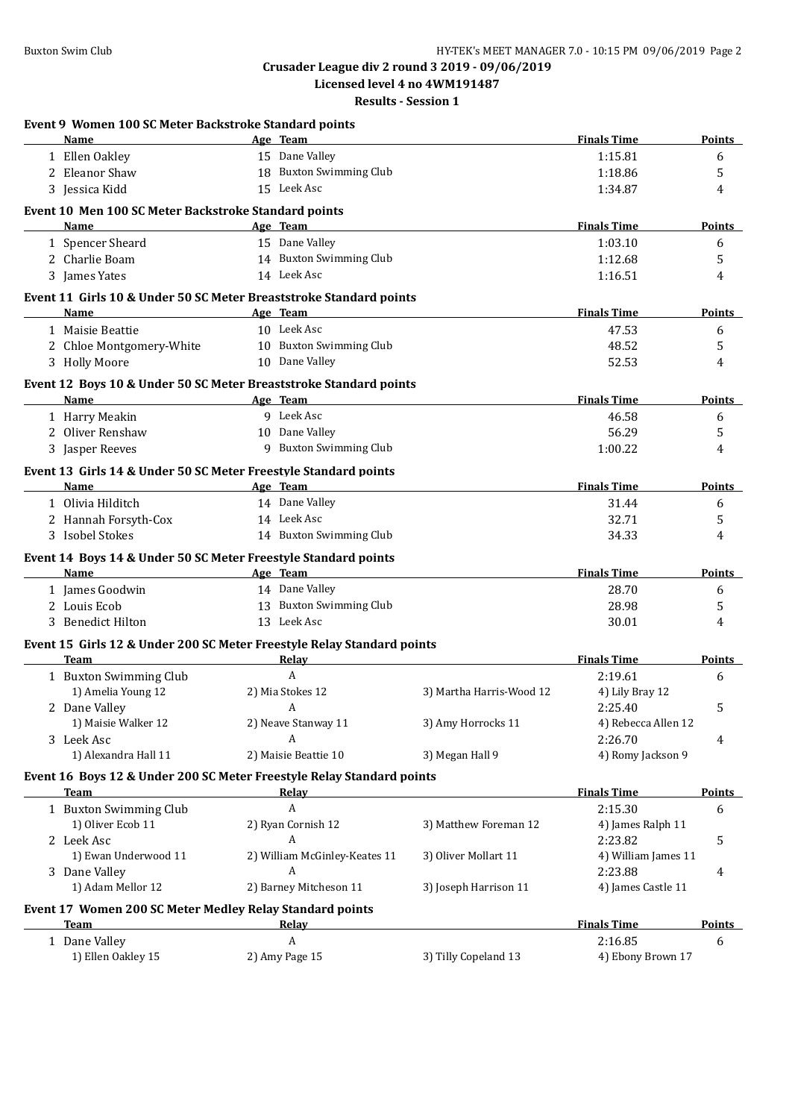**Licensed level 4 no 4WM191487**

| Event 9 Women 100 SC Meter Backstroke Standard points                  |                               |                          |                     |               |
|------------------------------------------------------------------------|-------------------------------|--------------------------|---------------------|---------------|
| Name                                                                   | Age Team                      |                          | <b>Finals Time</b>  | Points        |
| 1 Ellen Oakley                                                         | 15 Dane Valley                |                          | 1:15.81             | 6             |
| 2 Eleanor Shaw                                                         | 18 Buxton Swimming Club       |                          | 1:18.86             | 5             |
| 3 Jessica Kidd                                                         | 15 Leek Asc                   |                          | 1:34.87             | 4             |
| Event 10 Men 100 SC Meter Backstroke Standard points                   |                               |                          |                     |               |
| Name                                                                   | Age Team                      |                          | <b>Finals Time</b>  | <b>Points</b> |
| 1 Spencer Sheard                                                       | 15 Dane Valley                |                          | 1:03.10             | 6             |
| 2 Charlie Boam                                                         | 14 Buxton Swimming Club       |                          | 1:12.68             | 5             |
| 3 James Yates                                                          | 14 Leek Asc                   |                          | 1:16.51             | 4             |
| Event 11 Girls 10 & Under 50 SC Meter Breaststroke Standard points     |                               |                          |                     |               |
| Name                                                                   | Age Team                      |                          | <b>Finals Time</b>  | <b>Points</b> |
| 1 Maisie Beattie                                                       | 10 Leek Asc                   |                          | 47.53               | 6             |
| 2 Chloe Montgomery-White                                               | 10 Buxton Swimming Club       |                          | 48.52               | 5             |
| 3 Holly Moore                                                          | 10 Dane Valley                |                          | 52.53               | 4             |
| Event 12 Boys 10 & Under 50 SC Meter Breaststroke Standard points      |                               |                          |                     |               |
| Name                                                                   | Age Team                      |                          | <b>Finals Time</b>  | <b>Points</b> |
| 1 Harry Meakin                                                         | 9 Leek Asc                    |                          | 46.58               | 6             |
| 2 Oliver Renshaw                                                       | 10 Dane Valley                |                          | 56.29               | 5             |
| 3 Jasper Reeves                                                        | 9 Buxton Swimming Club        |                          | 1:00.22             | 4             |
| Event 13 Girls 14 & Under 50 SC Meter Freestyle Standard points        |                               |                          |                     |               |
| Name                                                                   | Age Team                      |                          | <b>Finals Time</b>  | <b>Points</b> |
| 1 Olivia Hilditch                                                      | 14 Dane Valley                |                          | 31.44               | 6             |
| 2 Hannah Forsyth-Cox                                                   | 14 Leek Asc                   |                          | 32.71               | 5             |
| 3 Isobel Stokes                                                        | 14 Buxton Swimming Club       |                          | 34.33               | 4             |
| Event 14 Boys 14 & Under 50 SC Meter Freestyle Standard points         |                               |                          |                     |               |
| Name                                                                   | Age Team                      |                          | <b>Finals Time</b>  | Points        |
| 1 James Goodwin                                                        | 14 Dane Valley                |                          | 28.70               | 6             |
| 2 Louis Ecob                                                           | 13 Buxton Swimming Club       |                          | 28.98               | 5             |
| 3 Benedict Hilton                                                      | 13 Leek Asc                   |                          | 30.01               | 4             |
| Event 15 Girls 12 & Under 200 SC Meter Freestyle Relay Standard points |                               |                          |                     |               |
| <b>Team</b>                                                            | <b>Relay</b>                  |                          | <b>Finals Time</b>  | Points        |
| 1 Buxton Swimming Club                                                 | $\boldsymbol{A}$              |                          | 2:19.61             | 6             |
| 1) Amelia Young 12                                                     | 2) Mia Stokes 12              | 3) Martha Harris-Wood 12 | 4) Lily Bray 12     |               |
| 2 Dane Valley                                                          | A                             |                          | 2:25.40             | 5             |
| 1) Maisie Walker 12                                                    | 2) Neave Stanway 11           | 3) Amy Horrocks 11       | 4) Rebecca Allen 12 |               |
| 3 Leek Asc                                                             | A                             |                          | 2:26.70             | 4             |
| 1) Alexandra Hall 11                                                   | 2) Maisie Beattie 10          | 3) Megan Hall 9          | 4) Romy Jackson 9   |               |
| Event 16 Boys 12 & Under 200 SC Meter Freestyle Relay Standard points  |                               |                          |                     |               |
| <b>Team</b>                                                            | <b>Relay</b>                  |                          | <b>Finals Time</b>  | <b>Points</b> |
| 1 Buxton Swimming Club                                                 | A                             |                          | 2:15.30             | 6             |
| 1) Oliver Ecob 11                                                      | 2) Ryan Cornish 12            | 3) Matthew Foreman 12    | 4) James Ralph 11   |               |
| 2 Leek Asc                                                             | A                             |                          | 2:23.82             | 5             |
| 1) Ewan Underwood 11                                                   | 2) William McGinley-Keates 11 | 3) Oliver Mollart 11     | 4) William James 11 |               |
| 3 Dane Valley                                                          | A                             |                          | 2:23.88             | 4             |
| 1) Adam Mellor 12                                                      | 2) Barney Mitcheson 11        | 3) Joseph Harrison 11    | 4) James Castle 11  |               |
| Event 17 Women 200 SC Meter Medley Relay Standard points               |                               |                          |                     |               |
| Team                                                                   | <u>Relav</u>                  |                          | <b>Finals Time</b>  | <b>Points</b> |
| 1 Dane Valley                                                          | A                             |                          | 2:16.85             | 6             |
| 1) Ellen Oakley 15                                                     | 2) Amy Page 15                | 3) Tilly Copeland 13     | 4) Ebony Brown 17   |               |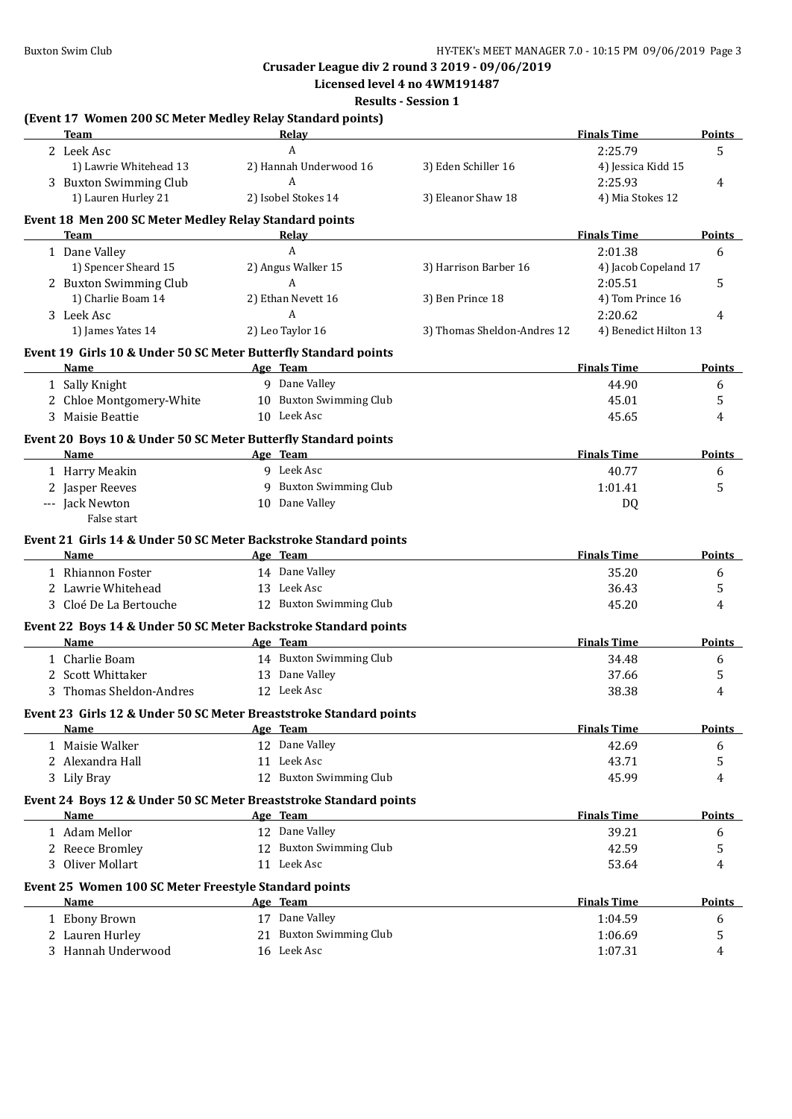**Crusader League div 2 round 3 2019 - 09/06/2019 Licensed level 4 no 4WM191487**

**Results - Session 1**

#### **(Event 17 Women 200 SC Meter Medley Relay Standard points) Team Relay Relay Relay Finals Time Points** 2 Leek Asc 2.25.79 5 1) Lawrie Whitehead 13 2) Hannah Underwood 16 3) Eden Schiller 16 4) Jessica Kidd 15 3 Buxton Swimming Club A 2:25.93 4 1) Lauren Hurley 21 2) Isobel Stokes 14 3) Eleanor Shaw 18 4) Mia Stokes 12

#### **Event 18 Men 200 SC Meter Medley Relay Standard points**

| <b>Team</b>                                                                | Relay                   |                             | <b>Finals Time</b>    | Points        |
|----------------------------------------------------------------------------|-------------------------|-----------------------------|-----------------------|---------------|
| 1 Dane Valley                                                              | $\mathbf{A}$            |                             | 2:01.38               | 6             |
| 1) Spencer Sheard 15                                                       | 2) Angus Walker 15      | 3) Harrison Barber 16       | 4) Jacob Copeland 17  |               |
| 2 Buxton Swimming Club                                                     | A                       |                             | 2:05.51               | 5             |
| 1) Charlie Boam 14                                                         | 2) Ethan Nevett 16      | 3) Ben Prince 18            | 4) Tom Prince 16      |               |
| 3 Leek Asc                                                                 | $\boldsymbol{A}$        |                             | 2:20.62               | 4             |
| 1) James Yates 14                                                          | 2) Leo Taylor 16        | 3) Thomas Sheldon-Andres 12 | 4) Benedict Hilton 13 |               |
| Event 19 Girls 10 & Under 50 SC Meter Butterfly Standard points            |                         |                             |                       |               |
| <b>Name</b><br>the control of the control of the control of the control of | Age Team                |                             | <b>Finals Time</b>    | <b>Points</b> |
| 1 Sally Knight                                                             | 9 Dane Valley           |                             | 44.90                 | 6             |
| 2 Chloe Montgomery-White                                                   | 10 Buxton Swimming Club |                             | 45.01                 | 5             |
| 3 Maisie Beattie                                                           | 10 Leek Asc             |                             | 45.65                 | 4             |
| Event 20 Boys 10 & Under 50 SC Meter Butterfly Standard points             |                         |                             |                       |               |
| Name                                                                       | Age Team                |                             | <b>Finals Time</b>    | Points        |
| 1 Harry Meakin                                                             | 9 Leek Asc              |                             | 40.77                 | 6             |
| 2 Jasper Reeves                                                            | 9 Buxton Swimming Club  |                             | 1:01.41               | 5             |
| --- Jack Newton<br>False start                                             | 10 Dane Valley          |                             | DQ                    |               |
| Event 21 Girls 14 & Under 50 SC Meter Backstroke Standard points           |                         |                             |                       |               |
| <b>Name</b>                                                                | Age Team                |                             | <b>Finals Time</b>    | Points        |
| 1 Rhiannon Foster                                                          | 14 Dane Valley          |                             | 35.20                 | 6             |
| 2 Lawrie Whitehead                                                         | 13 Leek Asc             |                             | 36.43                 | 5             |
| 3 Cloé De La Bertouche                                                     | 12 Buxton Swimming Club |                             | 45.20                 | 4             |
| Event 22 Boys 14 & Under 50 SC Meter Backstroke Standard points            |                         |                             |                       |               |
| Name                                                                       | Age Team                |                             | <b>Finals Time</b>    | Points        |
| 1 Charlie Boam                                                             | 14 Buxton Swimming Club |                             | 34.48                 | 6             |
| 2 Scott Whittaker                                                          | 13 Dane Valley          |                             | 37.66                 | 5             |
| 3 Thomas Sheldon-Andres                                                    | 12 Leek Asc             |                             | 38.38                 | 4             |
| Event 23 Girls 12 & Under 50 SC Meter Breaststroke Standard points         |                         |                             |                       |               |
| Name                                                                       | Age Team                |                             | <b>Finals Time</b>    | <b>Points</b> |
| 1 Maisie Walker                                                            | 12 Dane Valley          |                             | 42.69                 | 6             |
| 2 Alexandra Hall                                                           | 11 Leek Asc             |                             | 43.71                 | 5             |
| 3 Lily Bray                                                                | 12 Buxton Swimming Club |                             | 45.99                 | 4             |
| Event 24 Boys 12 & Under 50 SC Meter Breaststroke Standard points          |                         |                             |                       |               |
| <b>Name</b><br><b>Example 2</b> Age Team                                   |                         |                             | <b>Finals Time</b>    | <b>Points</b> |
| 1 Adam Mellor                                                              | 12 Dane Valley          |                             | 39.21                 | 6             |
| 2 Reece Bromley                                                            | 12 Buxton Swimming Club |                             | 42.59                 | 5             |
| 3 Oliver Mollart                                                           | 11 Leek Asc             |                             | 53.64                 | 4             |
| Event 25 Women 100 SC Meter Freestyle Standard points                      |                         |                             |                       |               |
| Name                                                                       | Age Team                |                             | <b>Finals Time</b>    | <b>Points</b> |
| 1 Ebony Brown                                                              | 17 Dane Valley          |                             | 1:04.59               | 6             |
| 2 Lauren Hurley                                                            | 21 Buxton Swimming Club |                             | 1:06.69               | 5             |
| 3 Hannah Underwood                                                         | 16 Leek Asc             |                             | 1:07.31               | 4             |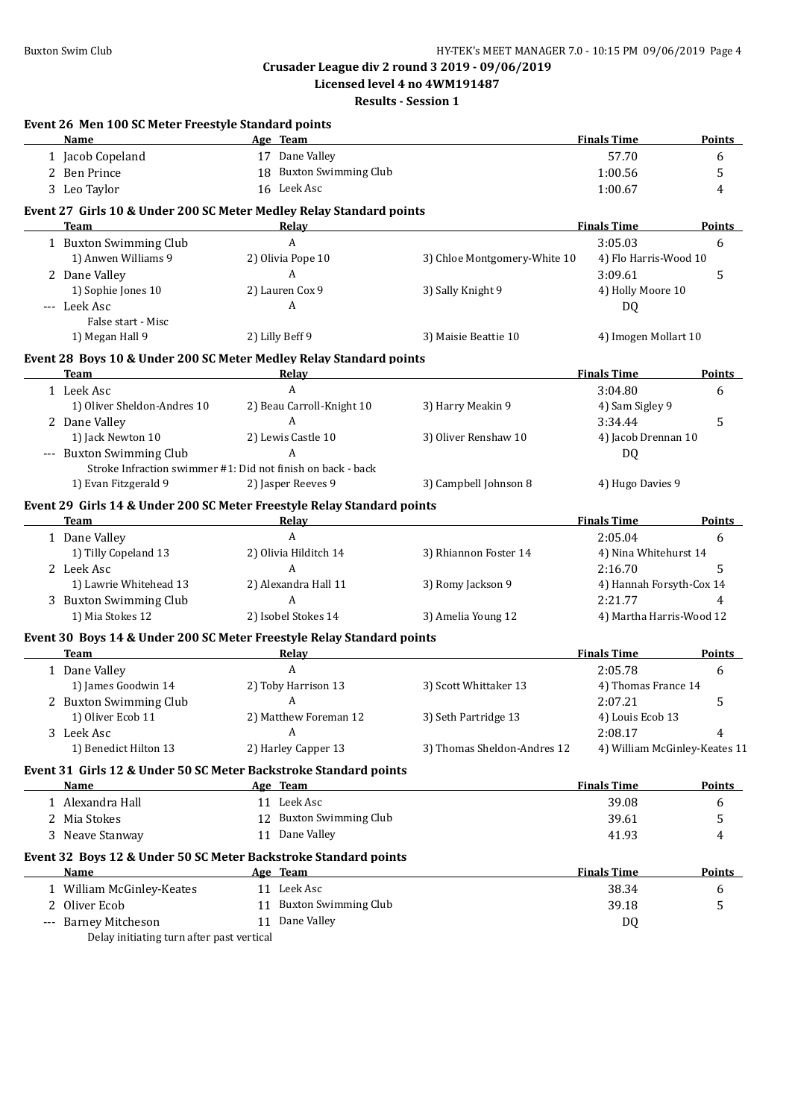**Licensed level 4 no 4WM191487**

| Event 26 Men 100 SC Meter Freestyle Standard points               |                                                                                 |                              |                               |               |
|-------------------------------------------------------------------|---------------------------------------------------------------------------------|------------------------------|-------------------------------|---------------|
| Name                                                              | Age Team                                                                        |                              | <b>Finals Time</b>            | Points        |
| 1 Jacob Copeland                                                  | 17 Dane Valley                                                                  |                              | 57.70                         | 6             |
| 2 Ben Prince                                                      | 18 Buxton Swimming Club                                                         |                              | 1:00.56                       | 5             |
| 3 Leo Taylor                                                      | 16 Leek Asc                                                                     |                              | 1:00.67                       | 4             |
|                                                                   | Event 27 Girls 10 & Under 200 SC Meter Medley Relay Standard points             |                              |                               |               |
| <b>Team</b>                                                       | Relay                                                                           |                              | <b>Finals Time</b>            | <b>Points</b> |
| 1 Buxton Swimming Club                                            | A                                                                               |                              | 3:05.03                       | 6             |
| 1) Anwen Williams 9                                               | 2) Olivia Pope 10<br>A                                                          | 3) Chloe Montgomery-White 10 | 4) Flo Harris-Wood 10         |               |
| 2 Dane Valley                                                     |                                                                                 |                              | 3:09.61                       | 5             |
| 1) Sophie Jones 10<br>--- Leek Asc                                | 2) Lauren Cox 9<br>A                                                            | 3) Sally Knight 9            | 4) Holly Moore 10             |               |
| False start - Misc                                                |                                                                                 |                              | DQ                            |               |
| 1) Megan Hall 9                                                   | 2) Lilly Beff 9                                                                 | 3) Maisie Beattie 10         | 4) Imogen Mollart 10          |               |
|                                                                   | Event 28 Boys 10 & Under 200 SC Meter Medley Relay Standard points              |                              |                               |               |
| <b>Team</b>                                                       | Relay                                                                           |                              | <b>Finals Time</b>            | <b>Points</b> |
| 1 Leek Asc                                                        | A                                                                               |                              | 3:04.80                       | 6             |
| 1) Oliver Sheldon-Andres 10                                       | 2) Beau Carroll-Knight 10                                                       | 3) Harry Meakin 9            | 4) Sam Sigley 9               |               |
| 2 Dane Valley                                                     | $\mathbf{A}$                                                                    |                              | 3:34.44                       | 5             |
| 1) Jack Newton 10                                                 | 2) Lewis Castle 10                                                              | 3) Oliver Renshaw 10         | 4) Jacob Drennan 10           |               |
| --- Buxton Swimming Club                                          | $\overline{A}$                                                                  |                              | DQ                            |               |
|                                                                   | Stroke Infraction swimmer #1: Did not finish on back - back                     |                              |                               |               |
| 1) Evan Fitzgerald 9                                              | 2) Jasper Reeves 9                                                              | 3) Campbell Johnson 8        | 4) Hugo Davies 9              |               |
| <b>Team</b>                                                       | Event 29 Girls 14 & Under 200 SC Meter Freestyle Relay Standard points<br>Relay |                              | <b>Finals Time</b>            | <b>Points</b> |
| 1 Dane Valley                                                     | A                                                                               |                              | 2:05.04                       | 6             |
| 1) Tilly Copeland 13                                              | 2) Olivia Hilditch 14                                                           | 3) Rhiannon Foster 14        | 4) Nina Whitehurst 14         |               |
| 2 Leek Asc                                                        | A                                                                               |                              | 2:16.70                       | 5             |
| 1) Lawrie Whitehead 13                                            | 2) Alexandra Hall 11                                                            | 3) Romy Jackson 9            | 4) Hannah Forsyth-Cox 14      |               |
| 3 Buxton Swimming Club                                            | A                                                                               |                              | 2:21.77                       | 4             |
| 1) Mia Stokes 12                                                  | 2) Isobel Stokes 14                                                             | 3) Amelia Young 12           | 4) Martha Harris-Wood 12      |               |
|                                                                   | Event 30 Boys 14 & Under 200 SC Meter Freestyle Relay Standard points           |                              |                               |               |
| <b>Team</b>                                                       | Relay                                                                           |                              | <b>Finals Time</b>            | Points        |
| 1 Dane Valley                                                     | $\mathbf{A}$                                                                    |                              | 2:05.78                       | 6             |
| 1) James Goodwin 14                                               | 2) Toby Harrison 13                                                             | 3) Scott Whittaker 13        | 4) Thomas France 14           |               |
| 2 Buxton Swimming Club                                            | A                                                                               |                              | 2:07.21                       | 5             |
| 1) Oliver Ecob 11                                                 | 2) Matthew Foreman 12                                                           | 3) Seth Partridge 13         | 4) Louis Ecob 13              |               |
| 3 Leek Asc                                                        | A                                                                               |                              | 2:08.17                       | 4             |
| 1) Benedict Hilton 13                                             | 2) Harley Capper 13                                                             | 3) Thomas Sheldon-Andres 12  | 4) William McGinley-Keates 11 |               |
|                                                                   | Event 31 Girls 12 & Under 50 SC Meter Backstroke Standard points                |                              |                               |               |
| Name                                                              | Age Team                                                                        |                              | <b>Finals Time</b>            | <b>Points</b> |
| 1 Alexandra Hall                                                  | 11 Leek Asc                                                                     |                              | 39.08                         | 6             |
| 2 Mia Stokes                                                      | 12 Buxton Swimming Club                                                         |                              | 39.61                         | 5             |
| 3 Neave Stanway                                                   | 11 Dane Valley                                                                  |                              | 41.93                         | 4             |
|                                                                   | Event 32 Boys 12 & Under 50 SC Meter Backstroke Standard points                 |                              |                               |               |
| Name                                                              | Age Team                                                                        |                              | <b>Finals Time</b>            | <b>Points</b> |
| 1 William McGinley-Keates                                         | 11 Leek Asc                                                                     |                              | 38.34                         | 6             |
| 2 Oliver Ecob                                                     | 11 Buxton Swimming Club                                                         |                              | 39.18                         | 5             |
| --- Barney Mitcheson<br>Delay initiating turn after past vertical | 11 Dane Valley                                                                  |                              | DQ                            |               |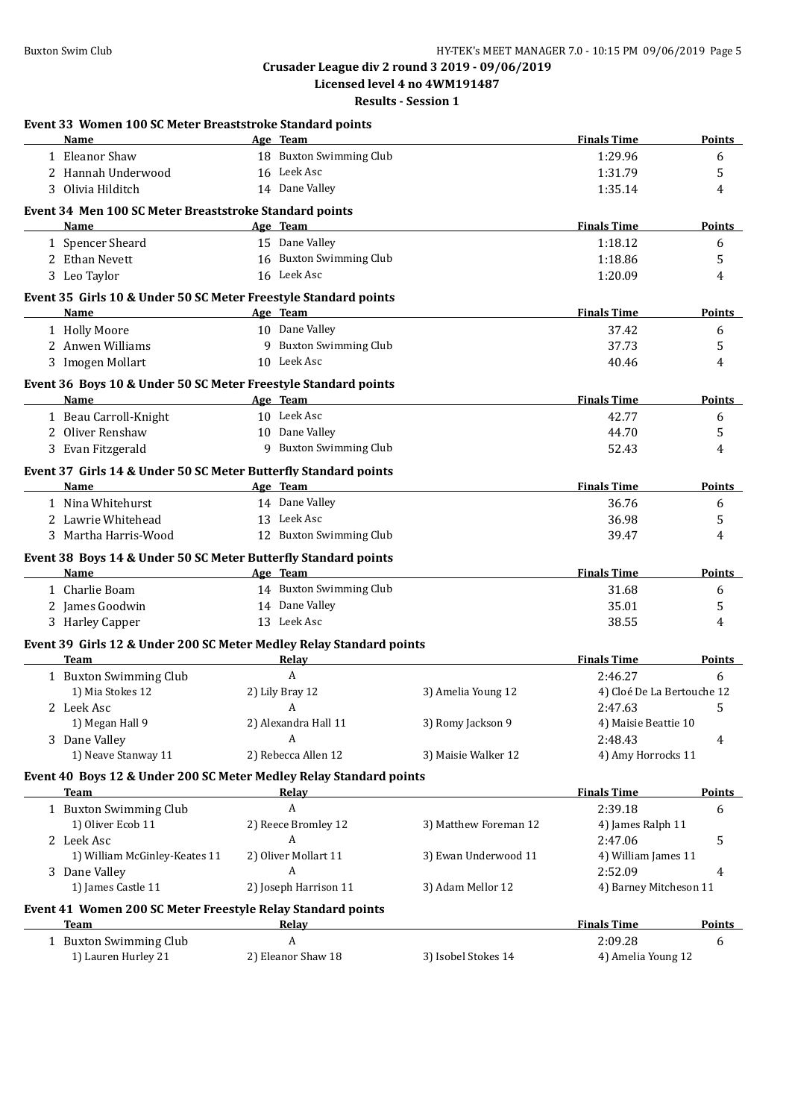**Licensed level 4 no 4WM191487**

| Event 33 Women 100 SC Meter Breaststroke Standard points<br>Name    | Age Team                |                       | <b>Finals Time</b>         | <b>Points</b> |
|---------------------------------------------------------------------|-------------------------|-----------------------|----------------------------|---------------|
|                                                                     | 18 Buxton Swimming Club |                       |                            |               |
| 1 Eleanor Shaw                                                      | 16 Leek Asc             |                       | 1:29.96                    | 6             |
| 2 Hannah Underwood                                                  |                         |                       | 1:31.79                    | 5             |
| 3 Olivia Hilditch                                                   | 14 Dane Valley          |                       | 1:35.14                    | 4             |
| Event 34 Men 100 SC Meter Breaststroke Standard points              |                         |                       | <b>Finals Time</b>         |               |
| Name                                                                | Age Team                |                       |                            | <b>Points</b> |
| 1 Spencer Sheard                                                    | 15 Dane Valley          |                       | 1:18.12                    | 6             |
| 2 Ethan Nevett                                                      | 16 Buxton Swimming Club |                       | 1:18.86                    | 5             |
| 3 Leo Taylor                                                        | 16 Leek Asc             |                       | 1:20.09                    | 4             |
| Event 35 Girls 10 & Under 50 SC Meter Freestyle Standard points     |                         |                       | <b>Finals Time</b>         |               |
| Name                                                                | Age Team                |                       |                            | <b>Points</b> |
| 1 Holly Moore                                                       | 10 Dane Valley          |                       | 37.42                      | 6             |
| 2 Anwen Williams                                                    | 9 Buxton Swimming Club  |                       | 37.73                      | 5             |
| 3 Imogen Mollart                                                    | 10 Leek Asc             |                       | 40.46                      | 4             |
| Event 36 Boys 10 & Under 50 SC Meter Freestyle Standard points      |                         |                       |                            |               |
| Name                                                                | Age Team                |                       | <b>Finals Time</b>         | <b>Points</b> |
| 1 Beau Carroll-Knight                                               | 10 Leek Asc             |                       | 42.77                      | 6             |
| 2 Oliver Renshaw                                                    | 10 Dane Valley          |                       | 44.70                      | 5             |
| 3 Evan Fitzgerald                                                   | 9 Buxton Swimming Club  |                       | 52.43                      | 4             |
| Event 37 Girls 14 & Under 50 SC Meter Butterfly Standard points     |                         |                       |                            |               |
| Name                                                                | Age Team                |                       | <b>Finals Time</b>         | <b>Points</b> |
| 1 Nina Whitehurst                                                   | 14 Dane Valley          |                       | 36.76                      | 6             |
| 2 Lawrie Whitehead                                                  | 13 Leek Asc             |                       | 36.98                      | 5             |
| 3 Martha Harris-Wood                                                | 12 Buxton Swimming Club |                       | 39.47                      | 4             |
| Event 38 Boys 14 & Under 50 SC Meter Butterfly Standard points      |                         |                       |                            |               |
| Name                                                                | Age Team                |                       | <b>Finals Time</b>         | <b>Points</b> |
| 1 Charlie Boam                                                      | 14 Buxton Swimming Club |                       | 31.68                      | 6             |
| 2 James Goodwin                                                     | 14 Dane Valley          |                       | 35.01                      | 5             |
| 3 Harley Capper                                                     | 13 Leek Asc             |                       | 38.55                      | 4             |
| Event 39 Girls 12 & Under 200 SC Meter Medley Relay Standard points |                         |                       |                            |               |
| <b>Team</b>                                                         | <b>Relay</b>            |                       | <b>Finals Time</b>         | <b>Points</b> |
| 1 Buxton Swimming Club                                              | Α                       |                       | 2:46.27                    | 6             |
| 1) Mia Stokes 12                                                    | 2) Lily Bray 12         | 3) Amelia Young 12    | 4) Cloé De La Bertouche 12 |               |
| 2 Leek Asc                                                          | A                       |                       | 2:47.63                    | 5             |
| 1) Megan Hall 9                                                     | 2) Alexandra Hall 11    | 3) Romy Jackson 9     | 4) Maisie Beattie 10       |               |
| 3 Dane Valley                                                       | A                       |                       | 2:48.43                    | 4             |
| 1) Neave Stanway 11                                                 | 2) Rebecca Allen 12     | 3) Maisie Walker 12   | 4) Amy Horrocks 11         |               |
| Event 40 Boys 12 & Under 200 SC Meter Medley Relay Standard points  |                         |                       |                            |               |
| Team                                                                | <b>Relay</b>            |                       | <b>Finals Time</b>         | <b>Points</b> |
| 1 Buxton Swimming Club                                              | A                       |                       | 2:39.18                    | 6             |
| 1) Oliver Ecob 11                                                   | 2) Reece Bromley 12     | 3) Matthew Foreman 12 | 4) James Ralph 11          |               |
| 2 Leek Asc                                                          | A                       |                       | 2:47.06                    | 5             |
| 1) William McGinley-Keates 11                                       | 2) Oliver Mollart 11    | 3) Ewan Underwood 11  | 4) William James 11        |               |
| 3 Dane Valley                                                       | A                       |                       | 2:52.09                    | 4             |
| 1) James Castle 11                                                  | 2) Joseph Harrison 11   | 3) Adam Mellor 12     | 4) Barney Mitcheson 11     |               |
| Event 41 Women 200 SC Meter Freestyle Relay Standard points         |                         |                       |                            |               |
| Team                                                                | Relay                   |                       | <b>Finals Time</b>         | Points        |
| 1 Buxton Swimming Club                                              | A                       |                       | 2:09.28                    | 6             |
| 1) Lauren Hurley 21                                                 | 2) Eleanor Shaw 18      | 3) Isobel Stokes 14   | 4) Amelia Young 12         |               |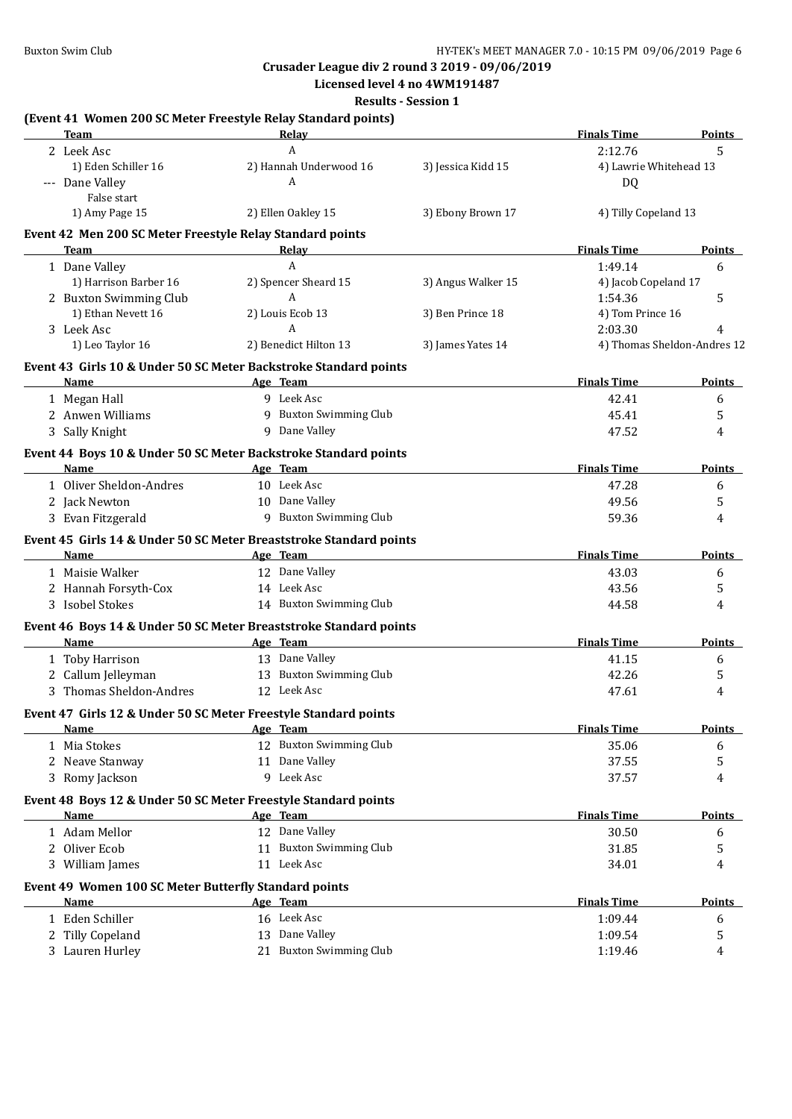#### **Crusader League div 2 round 3 2019 - 09/06/2019 Licensed level 4 no 4WM191487**

|                                                           |                                                                             | <b>Results - Session 1</b> |                        |                             |
|-----------------------------------------------------------|-----------------------------------------------------------------------------|----------------------------|------------------------|-----------------------------|
|                                                           | (Event 41 Women 200 SC Meter Freestyle Relay Standard points)               |                            |                        |                             |
| Team                                                      | Relay                                                                       |                            | <b>Finals Time</b>     | <b>Points</b>               |
| 2 Leek Asc                                                | A                                                                           |                            | 2:12.76                | 5                           |
| 1) Eden Schiller 16                                       | 2) Hannah Underwood 16                                                      | 3) Jessica Kidd 15         | 4) Lawrie Whitehead 13 |                             |
| --- Dane Valley                                           | A                                                                           |                            | DQ                     |                             |
| False start                                               |                                                                             |                            |                        |                             |
| 1) Amy Page 15                                            | 2) Ellen Oakley 15                                                          | 3) Ebony Brown 17          | 4) Tilly Copeland 13   |                             |
| Event 42 Men 200 SC Meter Freestyle Relay Standard points |                                                                             |                            |                        |                             |
| Team                                                      | <b>Relay</b>                                                                |                            | <b>Finals Time</b>     | Points                      |
| 1 Dane Valley                                             | $\mathbf{A}$                                                                |                            | 1:49.14                | 6                           |
| 1) Harrison Barber 16                                     | 2) Spencer Sheard 15                                                        | 3) Angus Walker 15         | 4) Jacob Copeland 17   |                             |
| 2 Buxton Swimming Club                                    | A                                                                           |                            | 1:54.36                | 5                           |
| 1) Ethan Nevett 16                                        | 2) Louis Ecob 13                                                            | 3) Ben Prince 18           | 4) Tom Prince 16       |                             |
| 3 Leek Asc                                                | A                                                                           |                            | 2:03.30                | 4                           |
| 1) Leo Taylor 16                                          | 2) Benedict Hilton 13                                                       | 3) James Yates 14          |                        | 4) Thomas Sheldon-Andres 12 |
|                                                           | Event 43 Girls 10 & Under 50 SC Meter Backstroke Standard points            |                            |                        |                             |
| Name                                                      | Age Team                                                                    |                            | <b>Finals Time</b>     | Points                      |
| 1 Megan Hall                                              | 9 Leek Asc                                                                  |                            | 42.41                  | 6                           |
| 2 Anwen Williams                                          | 9 Buxton Swimming Club                                                      |                            | 45.41                  | 5                           |
| 3 Sally Knight                                            | 9 Dane Valley                                                               |                            | 47.52                  | 4                           |
|                                                           |                                                                             |                            |                        |                             |
|                                                           | Event 44 Boys 10 & Under 50 SC Meter Backstroke Standard points             |                            | <b>Finals Time</b>     |                             |
| Name<br>1 Oliver Sheldon-Andres                           | Age Team<br>10 Leek Asc                                                     |                            |                        | <b>Points</b>               |
|                                                           | 10 Dane Valley                                                              |                            | 47.28                  | 6                           |
| 2 Jack Newton                                             |                                                                             |                            | 49.56                  | 5                           |
| 3 Evan Fitzgerald                                         | 9 Buxton Swimming Club                                                      |                            | 59.36                  | 4                           |
|                                                           | Event 45 Girls 14 & Under 50 SC Meter Breaststroke Standard points          |                            |                        |                             |
| Name                                                      | Age Team                                                                    |                            | <b>Finals Time</b>     | Points                      |
| 1 Maisie Walker                                           | 12 Dane Valley                                                              |                            | 43.03                  | 6                           |
| 2 Hannah Forsyth-Cox                                      | 14 Leek Asc                                                                 |                            | 43.56                  | 5                           |
| 3 Isobel Stokes                                           | 14 Buxton Swimming Club                                                     |                            | 44.58                  | 4                           |
|                                                           | Event 46 Boys 14 & Under 50 SC Meter Breaststroke Standard points           |                            |                        |                             |
| Name                                                      | Age Team                                                                    |                            | <b>Finals Time</b>     | <b>Points</b>               |
| 1 Toby Harrison                                           | 13 Dane Valley                                                              |                            | 41.15                  | 6                           |
| 2 Callum Jelleyman                                        | 13 Buxton Swimming Club                                                     |                            | 42.26                  | 5                           |
| 3 Thomas Sheldon-Andres                                   | 12 Leek Asc                                                                 |                            | 47.61                  | 4                           |
|                                                           |                                                                             |                            |                        |                             |
|                                                           | Event 47 Girls 12 & Under 50 SC Meter Freestyle Standard points<br>Age Team |                            | <b>Finals Time</b>     | <b>Points</b>               |
| Name                                                      | 12 Buxton Swimming Club                                                     |                            |                        |                             |
| 1 Mia Stokes                                              |                                                                             |                            | 35.06                  | 6                           |
| 2 Neave Stanway                                           | 11 Dane Valley                                                              |                            | 37.55                  | 5                           |
| 3 Romy Jackson                                            | 9 Leek Asc                                                                  |                            | 37.57                  | 4                           |
|                                                           | Event 48 Boys 12 & Under 50 SC Meter Freestyle Standard points              |                            |                        |                             |
| Name                                                      | Age Team                                                                    |                            | <b>Finals Time</b>     | Points                      |
| 1 Adam Mellor                                             | 12 Dane Valley                                                              |                            | 30.50                  | 6                           |
| 2 Oliver Ecob                                             | 11 Buxton Swimming Club                                                     |                            | 31.85                  | 5                           |
| 3 William James                                           | 11 Leek Asc                                                                 |                            | 34.01                  | 4                           |
| Event 49 Women 100 SC Meter Butterfly Standard points     |                                                                             |                            |                        |                             |
| Name                                                      | Age Team                                                                    |                            | <b>Finals Time</b>     | <b>Points</b>               |
| 1 Eden Schiller                                           | 16 Leek Asc                                                                 |                            | 1:09.44                | 6                           |
| 2 Tilly Copeland                                          | 13 Dane Valley                                                              |                            | 1:09.54                | 5                           |
| 3 Lauren Hurley                                           | 21 Buxton Swimming Club                                                     |                            | 1:19.46                | 4                           |